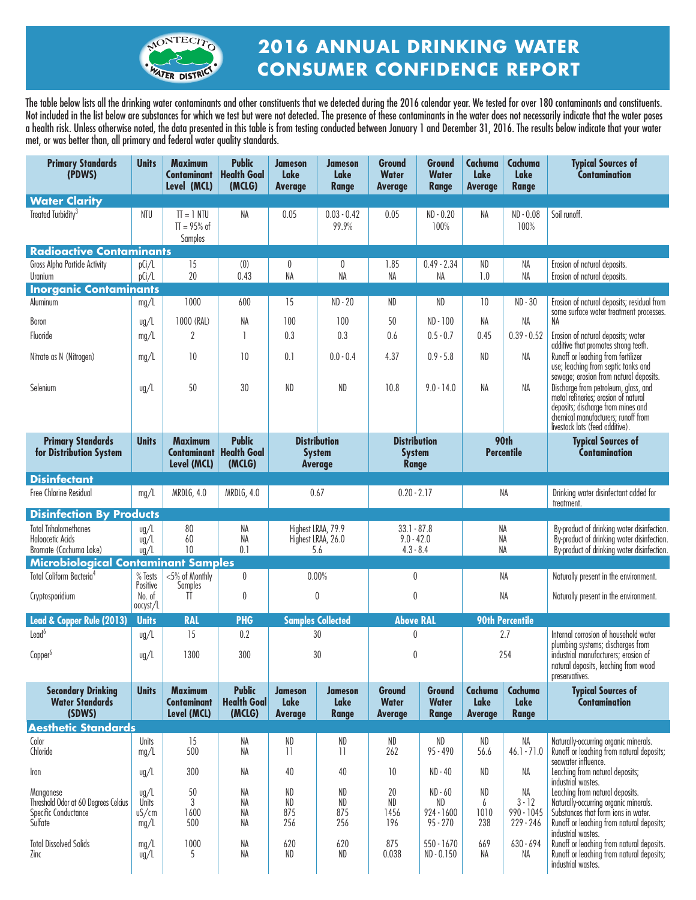

# **2016 ANNUAL DRINKING WATER CONSUMER CONFIDENCE REPORT**

The table below lists all the drinking water contaminants and other constituents that we detected during the 2016 calendar year. We tested for over 180 contaminants and constituents. Not included in the list below are substances for which we test but were not detected. The presence of these contaminants in the water does not necessarily indicate that the water poses a health risk. Unless otherwise noted, the data presented in this table is from testing conducted between January 1 and December 31, 2016. The results below indicate that your water met, or was better than, all primary and federal water quality standards.

| <b>Primary Standards</b><br>(PDWS)                                                   | <b>Units</b>                            | <b>Maximum</b><br><b>Contaminant</b><br>Level (MCL) | <b>Public</b><br><b>Health Goal</b><br>(MCLG) | <b>Jameson</b><br>Lake<br><b>Average</b>               | <b>Jameson</b><br><b>Lake</b><br><b>Range</b> | <b>Ground</b><br><b>Water</b><br><b>Average</b>      | Ground<br><b>Water</b><br><b>Range</b>        | Cachuma<br>Lake<br><b>Average</b> | Cachuma<br><b>Lake</b><br><b>Range</b>    | <b>Typical Sources of</b><br>Contamination                                                                                                                                                          |
|--------------------------------------------------------------------------------------|-----------------------------------------|-----------------------------------------------------|-----------------------------------------------|--------------------------------------------------------|-----------------------------------------------|------------------------------------------------------|-----------------------------------------------|-----------------------------------|-------------------------------------------|-----------------------------------------------------------------------------------------------------------------------------------------------------------------------------------------------------|
| <b>Water Clarity</b>                                                                 |                                         |                                                     |                                               |                                                        |                                               |                                                      |                                               |                                   |                                           |                                                                                                                                                                                                     |
| Treated Turbidity <sup>3</sup>                                                       | <b>NTU</b>                              | $TI = 1 NIU$<br>$TT = 95\%$ of<br>Samples           | NA                                            | 0.05                                                   | $0.03 - 0.42$<br>99.9%                        | 0.05                                                 | $ND - 0.20$<br>100%                           | NA                                | ND - 0.08<br>100%                         | Soil runoff.                                                                                                                                                                                        |
| <b>Radioactive Contaminants</b>                                                      |                                         |                                                     |                                               |                                                        |                                               |                                                      |                                               |                                   |                                           |                                                                                                                                                                                                     |
| Gross Alpha Particle Activity<br>Uranium                                             | pCi/L<br>pCi/L                          | 15<br>20                                            | (0)<br>0.43                                   | 0<br>NA                                                | 0<br>NA                                       | 1.85<br>NA                                           | $0.49 - 2.34$<br>NΑ                           | ND<br>1.0                         | NA<br>NA                                  | Erosion of natural deposits.<br>Erosion of natural deposits.                                                                                                                                        |
| <b>Inorganic Contaminants</b>                                                        |                                         |                                                     |                                               |                                                        |                                               |                                                      |                                               |                                   |                                           |                                                                                                                                                                                                     |
| Aluminum                                                                             | mg/L                                    | 1000                                                | 600                                           | 15                                                     | $ND - 20$                                     | ND                                                   | ND                                            | 10 <sup>°</sup>                   | $ND - 30$                                 | Erosion of natural deposits; residual from<br>some surface water treatment processes.                                                                                                               |
| Boron                                                                                | $\frac{u}{L}$                           | 1000 (RAL)                                          | NA                                            | 100                                                    | 100                                           | 50                                                   | ND - 100                                      | NA                                | NA                                        | NA                                                                                                                                                                                                  |
| Fluoride                                                                             | mg/L                                    | 2                                                   | $\mathbf{1}$                                  | 0.3                                                    | 0.3                                           | 0.6                                                  | $0.5 - 0.7$                                   | 0.45                              | $0.39 - 0.52$                             | Erosion of natural deposits; water                                                                                                                                                                  |
| Nitrate as N (Nitrogen)                                                              | mg/L                                    | 10                                                  | 10                                            | 0.1                                                    | $0.0 - 0.4$                                   | 4.37                                                 | $0.9 - 5.8$                                   | ND                                | NA                                        | additive that promotes strong teeth.<br>Runoff or leaching from fertilizer<br>use; leaching from septic tanks and                                                                                   |
| Selenium                                                                             | $\frac{u}{L}$                           | 50                                                  | 30                                            | <b>ND</b>                                              | ND                                            | 10.8                                                 | $9.0 - 14.0$                                  | NA                                | NA                                        | sewage; erosion from natural deposits.<br>Discharge from petroleum, glass, and<br>metal refineries; erosion of natural<br>deposits; discharge from mines and<br>chemical manufacturers; runoff from |
| <b>Primary Standards</b><br>for Distribution System                                  | <b>Units</b>                            | <b>Maximum</b><br><b>Contaminant</b><br>Level (MCL) | <b>Public</b><br><b>Health Goal</b><br>(MCLG) | <b>Distribution</b><br><b>System</b><br><b>Average</b> |                                               | <b>Distribution</b><br><b>System</b><br><b>Range</b> |                                               | 90th<br><b>Percentile</b>         |                                           | livestock lots (feed additive)<br><b>Typical Sources of</b><br><b>Contamination</b>                                                                                                                 |
| <b>Disinfectant</b>                                                                  |                                         |                                                     |                                               |                                                        |                                               |                                                      |                                               |                                   |                                           |                                                                                                                                                                                                     |
| Free Chlorine Residual                                                               | mg/L                                    | MRDLG, 4.0                                          | MRDLG, 4.0                                    | 0.67                                                   |                                               | $0.20 - 2.17$                                        |                                               | NA                                |                                           | Drinking water disinfectant added for<br>treatment.                                                                                                                                                 |
| <b>Disinfection By Products</b>                                                      |                                         |                                                     |                                               |                                                        |                                               |                                                      |                                               |                                   |                                           |                                                                                                                                                                                                     |
| <b>Total Trihalomethanes</b><br><b>Haloacetic Acids</b><br>Bromate (Cachuma Lake)    | $\frac{u}{L}$<br>ug/L<br>$\frac{u}{L}$  | 80<br>60<br>10                                      | NA<br>NA<br>0.1                               | Highest LRAA, 79.9<br>Highest LRAA, 26.0<br>5.6        |                                               | $33.1 - 87.8$<br>$9.0 - 42.0$<br>$4.3 - 8.4$         |                                               | NA<br>NA<br>NA                    |                                           | By-product of drinking water disinfection.<br>By-product of drinking water disinfection.<br>By-product of drinking water disinfection.                                                              |
| <b>Microbiological Contaminant Samples</b>                                           |                                         |                                                     |                                               |                                                        |                                               |                                                      |                                               |                                   |                                           |                                                                                                                                                                                                     |
| Total Coliform Bacteria <sup>4</sup>                                                 | % Tests<br>Positive                     | <5% of Monthly<br>Samples                           | 0                                             | 0.00%                                                  |                                               | 0                                                    |                                               | NA                                |                                           | Naturally present in the environment.                                                                                                                                                               |
| Cryptosporidium                                                                      | No. of<br>oocyst/L                      | TŤ                                                  | 0                                             |                                                        | 0                                             | $\pmb{0}$                                            |                                               | NA                                |                                           | Naturally present in the environment.                                                                                                                                                               |
| Lead & Copper Rule (2013)                                                            | <b>Units</b>                            | <b>RAL</b>                                          | <b>PHG</b>                                    |                                                        | <b>Samples Collected</b>                      | <b>Above RAL</b>                                     |                                               | <b>90th Percentile</b>            |                                           |                                                                                                                                                                                                     |
| Lead <sup>6</sup>                                                                    | $\frac{u}{2}$                           | 15                                                  | 0.2                                           |                                                        | 30                                            | $\mathbf 0$                                          |                                               | 2.7                               |                                           | Internal corrosion of household water<br>plumbing systems; discharges from<br>industrial manufacturers; erosion of<br>natural deposits, leaching from wood<br>preservatives.                        |
| Copper <sup>6</sup>                                                                  | $\frac{u}{L}$                           | 1300                                                | 300                                           |                                                        | 30<br>0                                       |                                                      |                                               | 254                               |                                           |                                                                                                                                                                                                     |
| <b>Secondary Drinking</b><br><b>Water Standards</b><br>(SDWS)                        | <b>Units</b>                            | <b>Maximum</b><br><b>Contaminant</b><br>Level (MCL) | <b>Public</b><br><b>Health Goal</b><br>(MCLG) | <b>Jameson</b><br>Lake<br>Average                      | <b>Jameson</b><br>Lake<br><b>Range</b>        | Ground<br><b>Water</b><br><b>Average</b>             | Ground<br><b>Water</b><br><b>Range</b>        | Cachuma<br>Lake<br><b>Average</b> | Cachuma<br>Lake<br><b>Range</b>           | <b>Typical Sources of</b><br>Contamination                                                                                                                                                          |
| <b>Aesthetic Standards</b>                                                           |                                         |                                                     |                                               |                                                        |                                               |                                                      |                                               |                                   |                                           |                                                                                                                                                                                                     |
| Color<br>Chloride                                                                    | <b>Units</b><br>mg/L                    | 15<br>500                                           | NA<br>NA                                      | ND<br>11                                               | ND<br>11                                      | ND<br>262                                            | ND<br>$95 - 490$                              | $\sf ND$<br>56.6                  | NA<br>$46.1 - 71.0$                       | Naturally-occurring organic minerals.<br>Runoff or leaching from natural deposits;<br>seawater influence.                                                                                           |
| Iron                                                                                 | $\frac{u}{L}$                           | 300                                                 | NA                                            | 40                                                     | 40                                            | 10                                                   | $ND - 40$                                     | ND.                               | NA                                        | Leaching from natural deposits;<br>industrial wastes.                                                                                                                                               |
| Manganese<br>Threshold Odor at 60 Degrees Celcius<br>Specific Conductance<br>Sulfate | $\frac{u}{2}$<br>Units<br>uS/cm<br>mg/L | 50<br>3<br>1600<br>500                              | NA<br>NA<br>NA<br>NA                          | ND<br><b>ND</b><br>875<br>256                          | ND<br>ND<br>875<br>256                        | 20<br>ND<br>1456<br>196                              | $ND - 60$<br>ND<br>$924 - 1600$<br>$95 - 270$ | ND<br>6<br>1010<br>238            | NA<br>$3 - 12$<br>990 - 1045<br>229 - 246 | Leaching from natural deposits.<br>Naturally-occurring organic minerals.<br>Substances that form ions in water.<br>Runoff or leaching from natural deposits;<br>industrial wastes.                  |
| <b>Total Dissolved Solids</b><br>Zinc                                                | mg/L<br>ug/L                            | 1000<br>5                                           | NA<br>NA                                      | 620<br>ND                                              | 620<br>ND                                     | 875<br>0.038                                         | $550 - 1670$<br>ND - 0.150                    | 669<br>NA                         | $630 - 694$<br>NA                         | Runoff or leaching from natural deposits.<br>Runoff or leaching from natural deposits;<br>industrial wastes.                                                                                        |